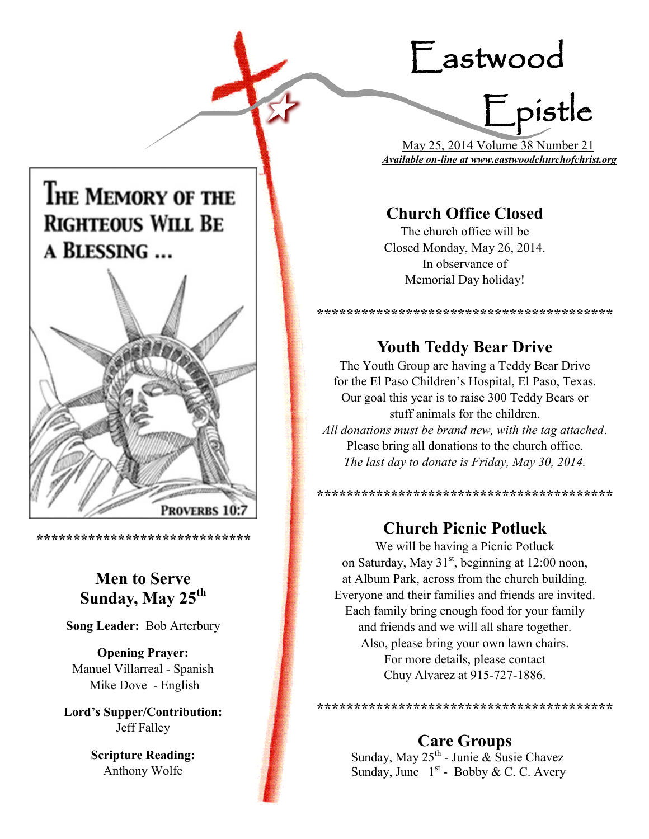# Eastwood Epistle

## THE MEMORY OF THE **RIGHTEOUS WILL BE** A BLESSING ...



**\*\*\*\*\*\*\*\*\*\*\*\*\*\*\*\*\*\*\*\*\*\*\*\*\*\*\*\*\***

## **Men to Serve Sunday, May 25th**

**Song Leader:** Bob Arterbury

**Opening Prayer:** Manuel Villarreal - Spanish Mike Dove - English

**Lord's Supper/Contribution:**  Jeff Falley

> **Scripture Reading:**  Anthony Wolfe

 May 25, 2014 Volume 38 Number 21 *Available on-line at www.eastwoodchurchofchrist.org*

## **Church Office Closed**

The church office will be Closed Monday, May 26, 2014. In observance of Memorial Day holiday!

## **Youth Teddy Bear Drive**

**\*\*\*\*\*\*\*\*\*\*\*\*\*\*\*\*\*\*\*\*\*\*\*\*\*\*\*\*\*\*\*\*\*\*\*\*\*\*\*\***

The Youth Group are having a Teddy Bear Drive for the El Paso Children's Hospital, El Paso, Texas. Our goal this year is to raise 300 Teddy Bears or stuff animals for the children. *All donations must be brand new, with the tag attached*. Please bring all donations to the church office. *The last day to donate is Friday, May 30, 2014.*

**\*\*\*\*\*\*\*\*\*\*\*\*\*\*\*\*\*\*\*\*\*\*\*\*\*\*\*\*\*\*\*\*\*\*\*\*\*\*\*\***

## **Church Picnic Potluck**

We will be having a Picnic Potluck on Saturday, May 31<sup>st</sup>, beginning at 12:00 noon, at Album Park, across from the church building. Everyone and their families and friends are invited. Each family bring enough food for your family and friends and we will all share together. Also, please bring your own lawn chairs. For more details, please contact Chuy Alvarez at 915-727-1886.

**Care Groups**

**\*\*\*\*\*\*\*\*\*\*\*\*\*\*\*\*\*\*\*\*\*\*\*\*\*\*\*\*\*\*\*\*\*\*\*\*\*\*\*\***

Sunday, May 25<sup>th</sup> - Junie & Susie Chavez Sunday, June  $1<sup>st</sup>$  - Bobby & C. C. Avery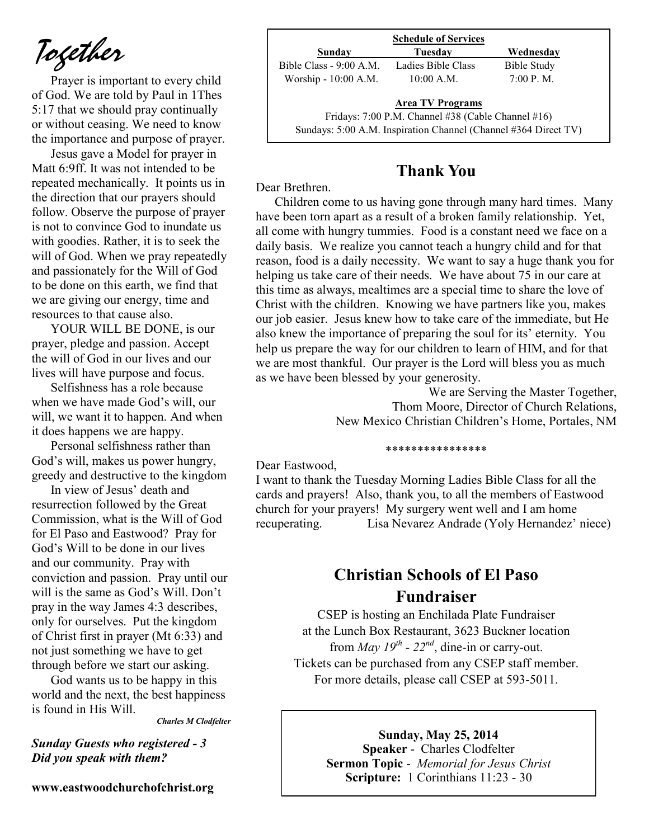*Together*

Prayer is important to every child of God. We are told by Paul in 1Thes 5:17 that we should pray continually or without ceasing. We need to know the importance and purpose of prayer.

Jesus gave a Model for prayer in Matt 6:9ff. It was not intended to be repeated mechanically. It points us in the direction that our prayers should follow. Observe the purpose of prayer is not to convince God to inundate us with goodies. Rather, it is to seek the will of God. When we pray repeatedly and passionately for the Will of God to be done on this earth, we find that we are giving our energy, time and resources to that cause also.

YOUR WILL BE DONE, is our prayer, pledge and passion. Accept the will of God in our lives and our lives will have purpose and focus.

Selfishness has a role because when we have made God's will, our will, we want it to happen. And when it does happens we are happy.

Personal selfishness rather than God's will, makes us power hungry, greedy and destructive to the kingdom

In view of Jesus' death and resurrection followed by the Great Commission, what is the Will of God for El Paso and Eastwood? Pray for God's Will to be done in our lives and our community. Pray with conviction and passion. Pray until our will is the same as God's Will. Don't pray in the way James 4:3 describes, only for ourselves. Put the kingdom of Christ first in prayer (Mt 6:33) and not just something we have to get through before we start our asking.

God wants us to be happy in this world and the next, the best happiness is found in His Will.

*Charles M Clodfelter*

*Sunday Guests who registered - 3 Did you speak with them?*

**www.eastwoodchurchofchrist.org**

| <b>Schedule of Services</b> |                                                                 |                    |  |
|-----------------------------|-----------------------------------------------------------------|--------------------|--|
| Sunday                      | Tuesday                                                         | Wednesdav          |  |
| Bible Class - 9:00 A.M.     | Ladies Bible Class                                              | <b>Bible Study</b> |  |
| Worship - 10:00 A.M.        | $10:00$ A.M.                                                    | 7:00 P. M.         |  |
|                             | <b>Area TV Programs</b>                                         |                    |  |
|                             | Fridays: 7:00 P.M. Channel #38 (Cable Channel #16)              |                    |  |
|                             | Sundays: 5:00 A.M. Inspiration Channel (Channel #364 Direct TV) |                    |  |

## **Thank You**

Dear Brethren.

Children come to us having gone through many hard times. Many have been torn apart as a result of a broken family relationship. Yet, all come with hungry tummies. Food is a constant need we face on a daily basis. We realize you cannot teach a hungry child and for that reason, food is a daily necessity. We want to say a huge thank you for helping us take care of their needs. We have about 75 in our care at this time as always, mealtimes are a special time to share the love of Christ with the children. Knowing we have partners like you, makes our job easier. Jesus knew how to take care of the immediate, but He also knew the importance of preparing the soul for its' eternity. You help us prepare the way for our children to learn of HIM, and for that we are most thankful. Our prayer is the Lord will bless you as much as we have been blessed by your generosity.

> We are Serving the Master Together, Thom Moore, Director of Church Relations, New Mexico Christian Children's Home, Portales, NM

#### \*\*\*\*\*\*\*\*\*\*\*\*\*\*\*\*

Dear Eastwood,

I want to thank the Tuesday Morning Ladies Bible Class for all the cards and prayers! Also, thank you, to all the members of Eastwood church for your prayers! My surgery went well and I am home recuperating. Lisa Nevarez Andrade (Yoly Hernandez' niece)

## **Christian Schools of El Paso Fundraiser**

CSEP is hosting an Enchilada Plate Fundraiser at the Lunch Box Restaurant, 3623 Buckner location from *May 19<sup>th</sup>* -  $22^{nd}$ , dine-in or carry-out. Tickets can be purchased from any CSEP staff member. For more details, please call CSEP at 593-5011.

> **Sunday, May 25, 2014 Speaker** - Charles Clodfelter **Sermon Topic** - *Memorial for Jesus Christ*  **Scripture:** 1 Corinthians 11:23 - 30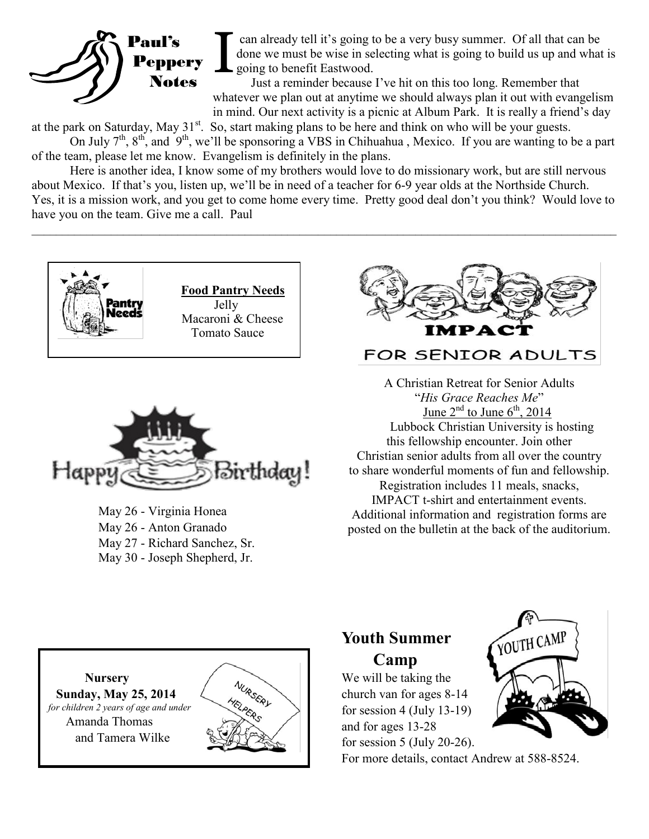

can already tell it's going to be a very busy summer. Of all that can be done we must be wise in selecting what is going to build us up and what is solary to benefit Eastwood.

Just a reminder because I've hit on this too long. Remember that whatever we plan out at anytime we should always plan it out with evangelism in mind. Our next activity is a picnic at Album Park. It is really a friend's day

at the park on Saturday, May  $31<sup>st</sup>$ . So, start making plans to be here and think on who will be your guests.

On July  $7^{\text{th}}$ ,  $8^{\text{th}}$ , and  $9^{\text{th}}$ , we'll be sponsoring a VBS in Chihuahua, Mexico. If you are wanting to be a part of the team, please let me know. Evangelism is definitely in the plans.

Here is another idea, I know some of my brothers would love to do missionary work, but are still nervous about Mexico. If that's you, listen up, we'll be in need of a teacher for 6-9 year olds at the Northside Church. Yes, it is a mission work, and you get to come home every time. Pretty good deal don't you think? Would love to have you on the team. Give me a call. Paul

 $\mathcal{L}_\mathcal{L} = \{ \mathcal{L}_\mathcal{L} = \{ \mathcal{L}_\mathcal{L} = \{ \mathcal{L}_\mathcal{L} = \{ \mathcal{L}_\mathcal{L} = \{ \mathcal{L}_\mathcal{L} = \{ \mathcal{L}_\mathcal{L} = \{ \mathcal{L}_\mathcal{L} = \{ \mathcal{L}_\mathcal{L} = \{ \mathcal{L}_\mathcal{L} = \{ \mathcal{L}_\mathcal{L} = \{ \mathcal{L}_\mathcal{L} = \{ \mathcal{L}_\mathcal{L} = \{ \mathcal{L}_\mathcal{L} = \{ \mathcal{L}_\mathcal{$ 





May 26 - Virginia Honea May 26 - Anton Granado May 27 - Richard Sanchez, Sr. May 30 - Joseph Shepherd, Jr.



### FOR SENIOR ADULTS

A Christian Retreat for Senior Adults "*His Grace Reaches Me*" June  $2^{nd}$  to June  $6^{th}$ , 2014 Lubbock Christian University is hosting this fellowship encounter. Join other Christian senior adults from all over the country to share wonderful moments of fun and fellowship. Registration includes 11 meals, snacks, IMPACT t-shirt and entertainment events. Additional information and registration forms are posted on the bulletin at the back of the auditorium.



## **Youth Summer Camp**

We will be taking the church van for ages 8-14 for session 4 (July 13-19) and for ages 13-28 for session  $5$  (July 20-26).



For more details, contact Andrew at 588-8524.